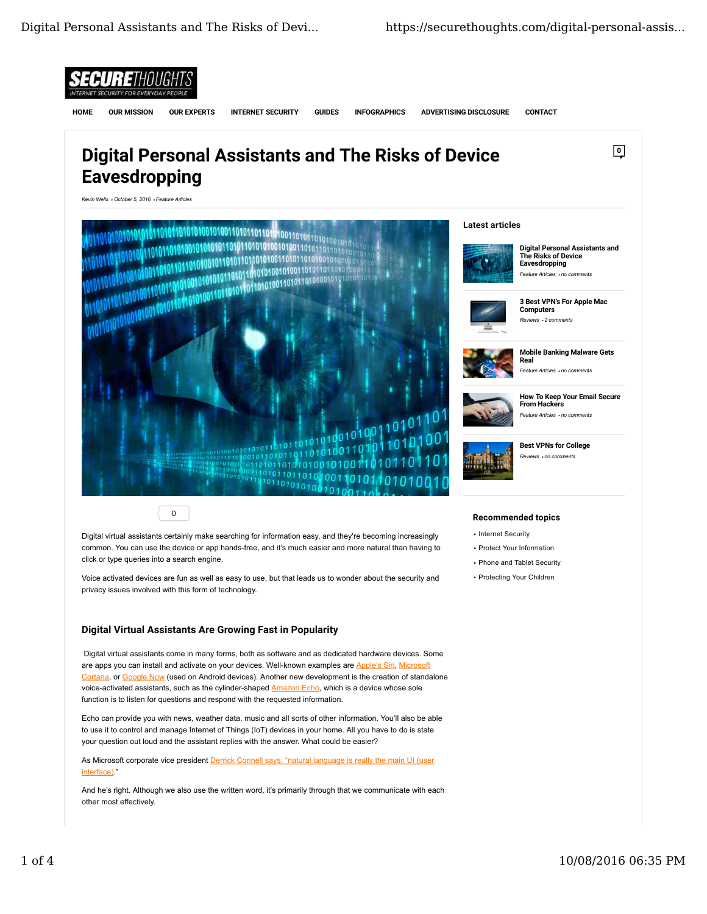

Voice activated devices are fun as well as easy to use, but that leads us to wonder about the security and privacy issues involved with this form of technology.

## Digital Virtual Assistants Are Growing Fast in Popularity

Digital virtual assistants come in many forms, both as software and as dedicated hardware devices. Some are apps you can install and activate on your devices. Well-known examples are Apple's Siri, Microsoft Cortana, or Google Now (used on Android devices). Another new development is the creation of standalone voice-activated assistants, such as the cylinder-shaped Amazon Echo, which is a device whose sole function is to listen for questions and respond with the requested information.

Echo can provide you with news, weather data, music and all sorts of other information. You'll also be able to use it to control and manage Internet of Things (IoT) devices in your home. All you have to do is state your question out loud and the assistant replies with the answer. What could be easier?

As Microsoft corporate vice president **Derrick Connell says, "natural language is really the main UI (user** interface)."

And he's right. Although we also use the written word, it's primarily through that we communicate with each other most effectively.

# . Protecting Your Children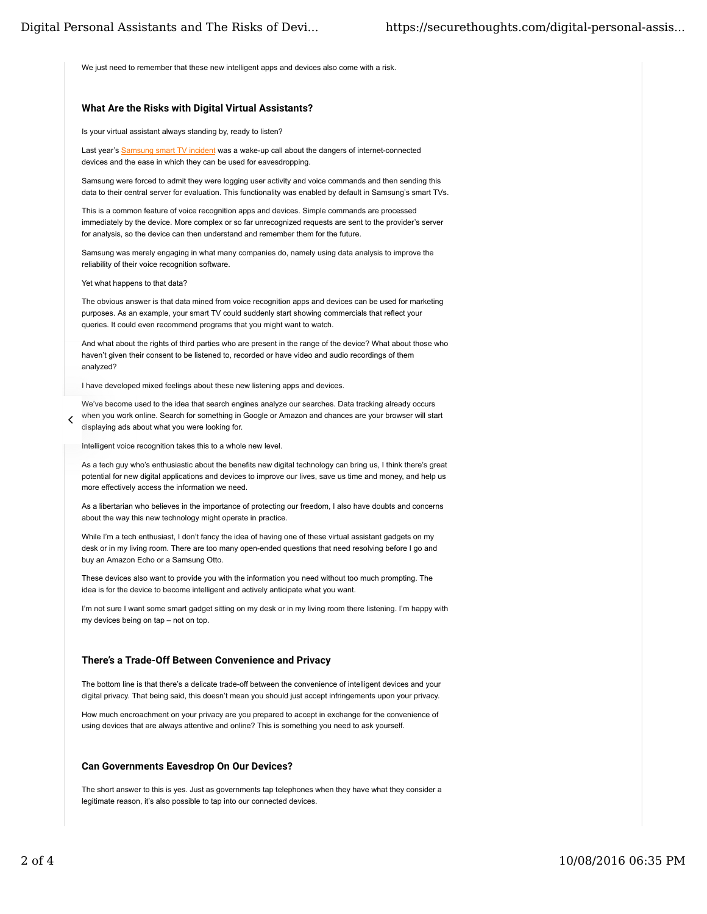We just need to remember that these new intelligent apps and devices also come with a risk.

# What Are the Risks with Digital Virtual Assistants?

#### Is your virtual assistant always standing by, ready to listen?

Last year's Samsung smart TV incident was a wake-up call about the dangers of internet-connected devices and the ease in which they can be used for eavesdropping.

Samsung were forced to admit they were logging user activity and voice commands and then sending this data to their central server for evaluation. This functionality was enabled by default in Samsung's smart TVs.

This is a common feature of voice recognition apps and devices. Simple commands are processed immediately by the device. More complex or so far unrecognized requests are sent to the provider's server for analysis, so the device can then understand and remember them for the future.

Samsung was merely engaging in what many companies do, namely using data analysis to improve the reliability of their voice recognition software.

Yet what happens to that data?

 $\checkmark$ 

The obvious answer is that data mined from voice recognition apps and devices can be used for marketing purposes. As an example, your smart TV could suddenly start showing commercials that reflect your queries. It could even recommend programs that you might want to watch.

And what about the rights of third parties who are present in the range of the device? What about those who haven't given their consent to be listened to, recorded or have video and audio recordings of them analyzed?

I have developed mixed feelings about these new listening apps and devices.

We've become used to the idea that search engines analyze our searches. Data tracking already occurs when you work online. Search for something in Google or Amazon and chances are your browser will start displaying ads about what you were looking for.

Intelligent voice recognition takes this to a whole new level.

As a tech guy who's enthusiastic about the benefits new digital technology can bring us, I think there's great potential for new digital applications and devices to improve our lives, save us time and money, and help us more effectively access the information we need.

As a libertarian who believes in the importance of protecting our freedom, I also have doubts and concerns about the way this new technology might operate in practice.

While I'm a tech enthusiast, I don't fancy the idea of having one of these virtual assistant gadgets on my desk or in my living room. There are too many open-ended questions that need resolving before I go and buy an Amazon Echo or a Samsung Otto.

These devices also want to provide you with the information you need without too much prompting. The idea is for the device to become intelligent and actively anticipate what you want.

I'm not sure I want some smart gadget sitting on my desk or in my living room there listening. I'm happy with my devices being on tap – not on top.

#### There's a Trade-Off Between Convenience and Privacy

The bottom line is that there's a delicate trade-off between the convenience of intelligent devices and your digital privacy. That being said, this doesn't mean you should just accept infringements upon your privacy.

How much encroachment on your privacy are you prepared to accept in exchange for the convenience of using devices that are always attentive and online? This is something you need to ask yourself.

#### Can Governments Eavesdrop On Our Devices?

The short answer to this is yes. Just as governments tap telephones when they have what they consider a legitimate reason, it's also possible to tap into our connected devices.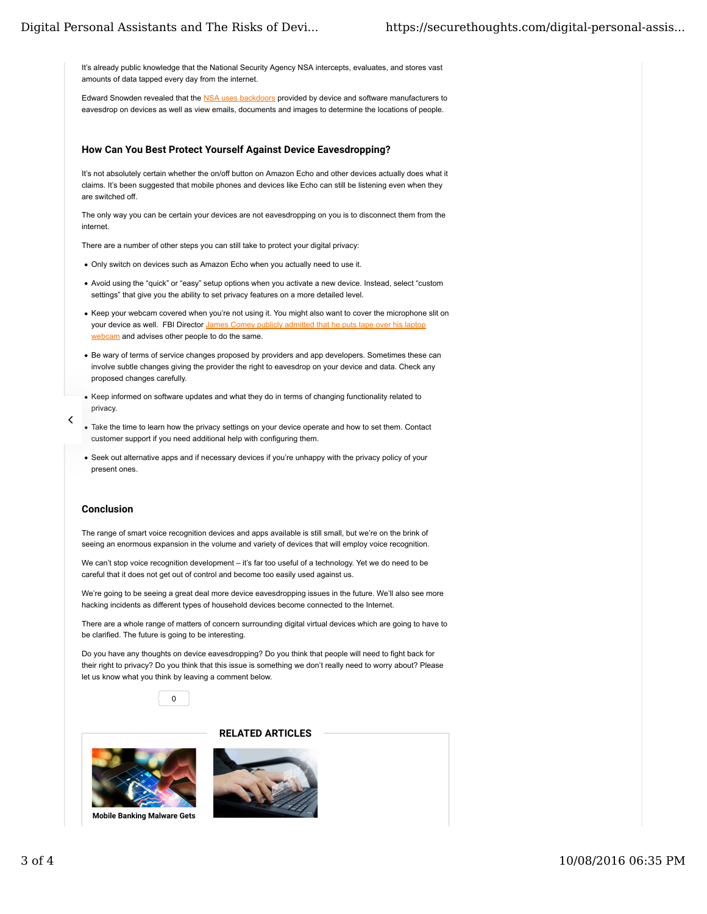It's already public knowledge that the National Security Agency NSA intercepts, evaluates, and stores vast amounts of data tapped every day from the internet.

Edward Snowden revealed that the NSA uses backdoors provided by device and software manufacturers to eavesdrop on devices as well as view emails, documents and images to determine the locations of people.

#### How Can You Best Protect Yourself Against Device Eavesdropping?

It's not absolutely certain whether the on/off button on Amazon Echo and other devices actually does what it claims. It's been suggested that mobile phones and devices like Echo can still be listening even when they are switched off.

The only way you can be certain your devices are not eavesdropping on you is to disconnect them from the internet.

There are a number of other steps you can still take to protect your digital privacy:

- Only switch on devices such as Amazon Echo when you actually need to use it.
- Avoid using the "quick" or "easy" setup options when you activate a new device. Instead, select "custom settings" that give you the ability to set privacy features on a more detailed level.
- Keep your webcam covered when you're not using it. You might also want to cover the microphone slit on your device as well. FBI Director James Comey publicly admitted that he puts tape over his laptop webcam and advises other people to do the same.
- Be wary of terms of service changes proposed by providers and app developers. Sometimes these can involve subtle changes giving the provider the right to eavesdrop on your device and data. Check any proposed changes carefully.
- Keep informed on software updates and what they do in terms of changing functionality related to privacy.
- Take the time to learn how the privacy settings on your device operate and how to set them. Contact customer support if you need additional help with configuring them.
- Seek out alternative apps and if necessary devices if you're unhappy with the privacy policy of your present ones.

## Conclusion

 $\checkmark$ 

The range of smart voice recognition devices and apps available is still small, but we're on the brink of seeing an enormous expansion in the volume and variety of devices that will employ voice recognition.

We can't stop voice recognition development – it's far too useful of a technology. Yet we do need to be careful that it does not get out of control and become too easily used against us.

We're going to be seeing a great deal more device eavesdropping issues in the future. We'll also see more hacking incidents as different types of household devices become connected to the Internet.

There are a whole range of matters of concern surrounding digital virtual devices which are going to have to be clarified. The future is going to be interesting.

Do you have any thoughts on device eavesdropping? Do you think that people will need to fight back for their right to privacy? Do you think that this issue is something we don't really need to worry about? Please let us know what you think by leaving a comment below.





Mobile Banking Malware Gets



RELATED ARTICLES